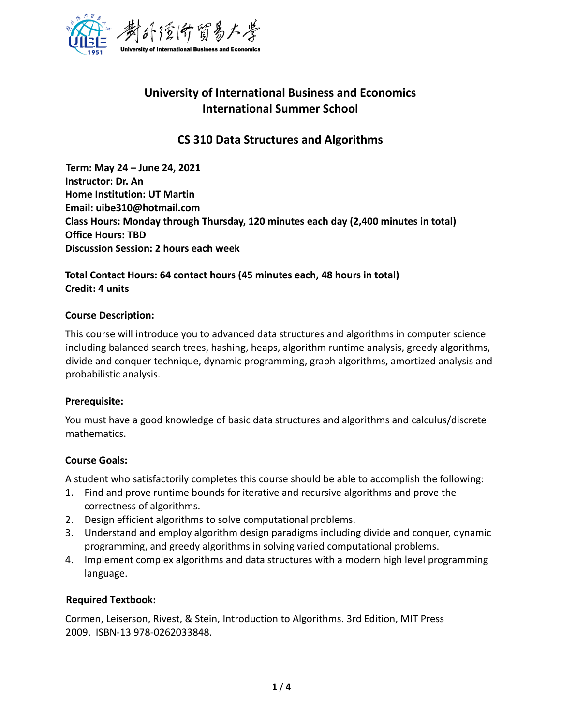

# **University of International Business and Economics International Summer School**

# **CS 310 Data Structures and Algorithms**

**Term: May 24 – June 24, 2021 Instructor: Dr. An Home Institution: UT Martin Email: uibe310@hotmail.com Class Hours: Monday through Thursday, 120 minutes each day (2,400 minutes in total) Office Hours: TBD Discussion Session: 2 hours each week** 

# **Total Contact Hours: 64 contact hours (45 minutes each, 48 hours in total) Credit: 4 units**

#### **Course Description:**

This course will introduce you to advanced data structures and algorithms in computer science including balanced search trees, hashing, heaps, algorithm runtime analysis, greedy algorithms, divide and conquer technique, dynamic programming, graph algorithms, amortized analysis and probabilistic analysis.

#### **Prerequisite:**

You must have a good knowledge of basic data structures and algorithms and calculus/discrete mathematics.

#### **Course Goals:**

A student who satisfactorily completes this course should be able to accomplish the following:

- 1. Find and prove runtime bounds for iterative and recursive algorithms and prove the correctness of algorithms.
- 2. Design efficient algorithms to solve computational problems.
- 3. Understand and employ algorithm design paradigms including divide and conquer, dynamic programming, and greedy algorithms in solving varied computational problems.
- 4. Implement complex algorithms and data structures with a modern high level programming language.

#### **Required Textbook:**

Cormen, Leiserson, Rivest, & Stein, Introduction to Algorithms. 3rd Edition, MIT Press 2009. ISBN-13 978-0262033848.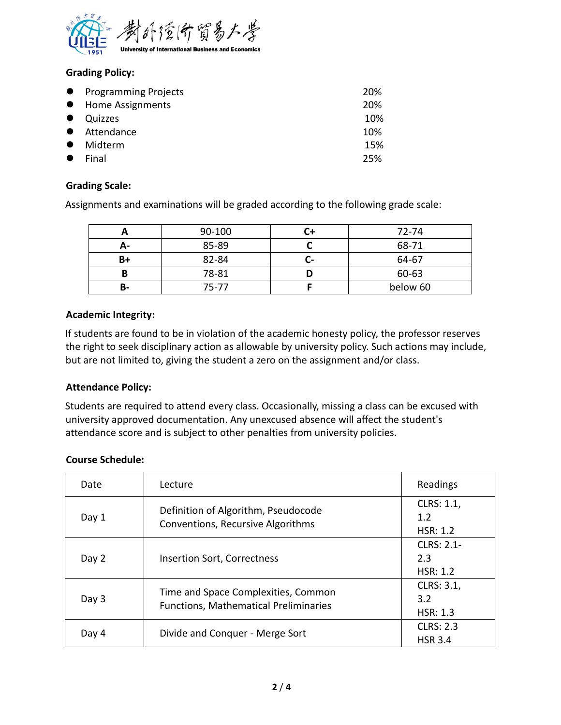

## **Grading Policy:**

|           | • Programming Projects | 20% |
|-----------|------------------------|-----|
|           | • Home Assignments     | 20% |
| $\bullet$ | Quizzes                | 10% |
|           | • Attendance           | 10% |
| $\bullet$ | Midterm                | 15% |
| $\bullet$ | Final                  | 25% |

### **Grading Scale:**

Assignments and examinations will be graded according to the following grade scale:

|    | 90-100 | 72-74    |
|----|--------|----------|
| А- | 85-89  | 68-71    |
| B+ | 82-84  | 64-67    |
| B  | 78-81  | 60-63    |
| В- | 75-77  | below 60 |

#### **Academic Integrity:**

If students are found to be in violation of the academic honesty policy, the professor reserves the right to seek disciplinary action as allowable by university policy. Such actions may include, but are not limited to, giving the student a zero on the assignment and/or class.

#### **Attendance Policy:**

Students are required to attend every class. Occasionally, missing a class can be excused with university approved documentation. Any unexcused absence will affect the student's attendance score and is subject to other penalties from university policies.

#### **Course Schedule:**

| Date  | Lecture                                                                             | Readings                             |
|-------|-------------------------------------------------------------------------------------|--------------------------------------|
| Day 1 | Definition of Algorithm, Pseudocode<br>Conventions, Recursive Algorithms            | CLRS: 1.1,<br>1.2<br>HSR: 1.2        |
| Day 2 | <b>Insertion Sort, Correctness</b>                                                  | <b>CLRS: 2.1-</b><br>2.3<br>HSR: 1.2 |
| Day 3 | Time and Space Complexities, Common<br><b>Functions, Mathematical Preliminaries</b> | CLRS: 3.1,<br>3.2<br><b>HSR: 1.3</b> |
| Day 4 | Divide and Conquer - Merge Sort                                                     | <b>CLRS: 2.3</b><br><b>HSR 3.4</b>   |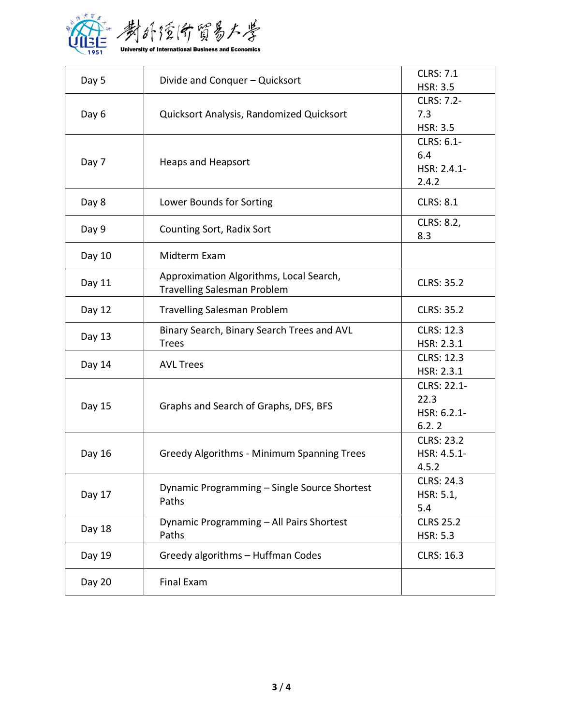

| Day 5  | Divide and Conquer - Quicksort                                                | <b>CLRS: 7.1</b><br><b>HSR: 3.5</b>          |
|--------|-------------------------------------------------------------------------------|----------------------------------------------|
| Day 6  | Quicksort Analysis, Randomized Quicksort                                      | CLRS: 7.2-<br>7.3<br><b>HSR: 3.5</b>         |
| Day 7  | <b>Heaps and Heapsort</b>                                                     | CLRS: 6.1-<br>6.4<br>$HSR: 2.4.1 -$<br>2.4.2 |
| Day 8  | Lower Bounds for Sorting                                                      | <b>CLRS: 8.1</b>                             |
| Day 9  | Counting Sort, Radix Sort                                                     | CLRS: 8.2,<br>8.3                            |
| Day 10 | Midterm Exam                                                                  |                                              |
| Day 11 | Approximation Algorithms, Local Search,<br><b>Travelling Salesman Problem</b> | <b>CLRS: 35.2</b>                            |
| Day 12 | <b>Travelling Salesman Problem</b>                                            | <b>CLRS: 35.2</b>                            |
| Day 13 | Binary Search, Binary Search Trees and AVL<br><b>Trees</b>                    | <b>CLRS: 12.3</b><br>HSR: 2.3.1              |
| Day 14 | <b>AVL Trees</b>                                                              | <b>CLRS: 12.3</b><br>HSR: 2.3.1              |
| Day 15 | Graphs and Search of Graphs, DFS, BFS                                         | CLRS: 22.1-<br>22.3<br>HSR: 6.2.1-<br>6.2.2  |
| Day 16 | <b>Greedy Algorithms - Minimum Spanning Trees</b>                             | <b>CLRS: 23.2</b><br>HSR: 4.5.1-<br>4.5.2    |
| Day 17 | Dynamic Programming - Single Source Shortest<br>Paths                         | <b>CLRS: 24.3</b><br>HSR: 5.1,<br>5.4        |
| Day 18 | Dynamic Programming - All Pairs Shortest<br>Paths                             | <b>CLRS 25.2</b><br><b>HSR: 5.3</b>          |
| Day 19 | Greedy algorithms - Huffman Codes                                             | CLRS: 16.3                                   |
| Day 20 | Final Exam                                                                    |                                              |